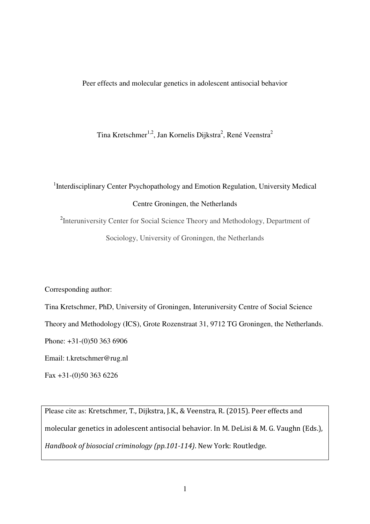Peer effects and molecular genetics in adolescent antisocial behavior

Tina Kretschmer<sup>1,2</sup>, Jan Kornelis Dijkstra<sup>2</sup>, René Veenstra<sup>2</sup>

# <sup>1</sup>Interdisciplinary Center Psychopathology and Emotion Regulation, University Medical Centre Groningen, the Netherlands

<sup>2</sup>Interuniversity Center for Social Science Theory and Methodology, Department of Sociology, University of Groningen, the Netherlands

Corresponding author:

Tina Kretschmer, PhD, University of Groningen, Interuniversity Centre of Social Science Theory and Methodology (ICS), Grote Rozenstraat 31, 9712 TG Groningen, the Netherlands. Phone: +31-(0)50 363 6906

Email: t.kretschmer@rug.nl

Fax +31-(0)50 363 6226

Please cite as: Kretschmer, T., Dijkstra, J.K., & Veenstra, R. (2015). Peer effects and molecular genetics in adolescent antisocial behavior. In M. DeLisi & M. G. Vaughn (Eds.), Handbook of biosocial criminology (pp.101-114). New York: Routledge.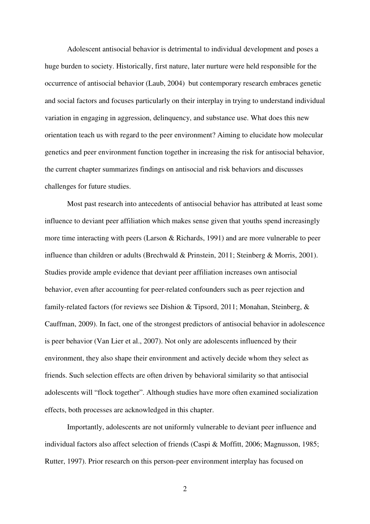Adolescent antisocial behavior is detrimental to individual development and poses a huge burden to society. Historically, first nature, later nurture were held responsible for the occurrence of antisocial behavior (Laub, 2004) but contemporary research embraces genetic and social factors and focuses particularly on their interplay in trying to understand individual variation in engaging in aggression, delinquency, and substance use. What does this new orientation teach us with regard to the peer environment? Aiming to elucidate how molecular genetics and peer environment function together in increasing the risk for antisocial behavior, the current chapter summarizes findings on antisocial and risk behaviors and discusses challenges for future studies.

Most past research into antecedents of antisocial behavior has attributed at least some influence to deviant peer affiliation which makes sense given that youths spend increasingly more time interacting with peers (Larson & Richards, 1991) and are more vulnerable to peer influence than children or adults (Brechwald & Prinstein, 2011; Steinberg & Morris, 2001). Studies provide ample evidence that deviant peer affiliation increases own antisocial behavior, even after accounting for peer-related confounders such as peer rejection and family-related factors (for reviews see Dishion & Tipsord, 2011; Monahan, Steinberg, & Cauffman, 2009). In fact, one of the strongest predictors of antisocial behavior in adolescence is peer behavior (Van Lier et al., 2007). Not only are adolescents influenced by their environment, they also shape their environment and actively decide whom they select as friends. Such selection effects are often driven by behavioral similarity so that antisocial adolescents will "flock together". Although studies have more often examined socialization effects, both processes are acknowledged in this chapter.

Importantly, adolescents are not uniformly vulnerable to deviant peer influence and individual factors also affect selection of friends (Caspi & Moffitt, 2006; Magnusson, 1985; Rutter, 1997). Prior research on this person-peer environment interplay has focused on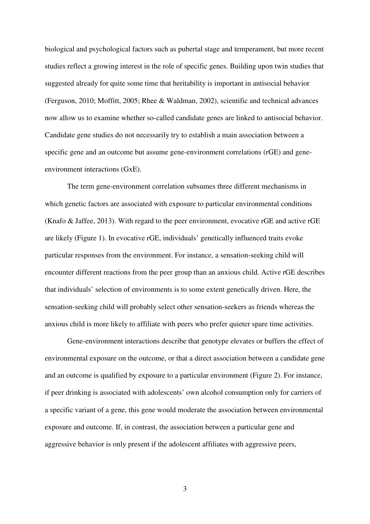biological and psychological factors such as pubertal stage and temperament, but more recent studies reflect a growing interest in the role of specific genes. Building upon twin studies that suggested already for quite some time that heritability is important in antisocial behavior (Ferguson, 2010; Moffitt, 2005; Rhee & Waldman, 2002), scientific and technical advances now allow us to examine whether so-called candidate genes are linked to antisocial behavior. Candidate gene studies do not necessarily try to establish a main association between a specific gene and an outcome but assume gene-environment correlations (rGE) and geneenvironment interactions (GxE).

The term gene-environment correlation subsumes three different mechanisms in which genetic factors are associated with exposure to particular environmental conditions (Knafo & Jaffee, 2013). With regard to the peer environment, evocative rGE and active rGE are likely (Figure 1). In evocative rGE, individuals' genetically influenced traits evoke particular responses from the environment. For instance, a sensation-seeking child will encounter different reactions from the peer group than an anxious child. Active rGE describes that individuals' selection of environments is to some extent genetically driven. Here, the sensation-seeking child will probably select other sensation-seekers as friends whereas the anxious child is more likely to affiliate with peers who prefer quieter spare time activities.

Gene-environment interactions describe that genotype elevates or buffers the effect of environmental exposure on the outcome, or that a direct association between a candidate gene and an outcome is qualified by exposure to a particular environment (Figure 2). For instance, if peer drinking is associated with adolescents' own alcohol consumption only for carriers of a specific variant of a gene, this gene would moderate the association between environmental exposure and outcome. If, in contrast, the association between a particular gene and aggressive behavior is only present if the adolescent affiliates with aggressive peers,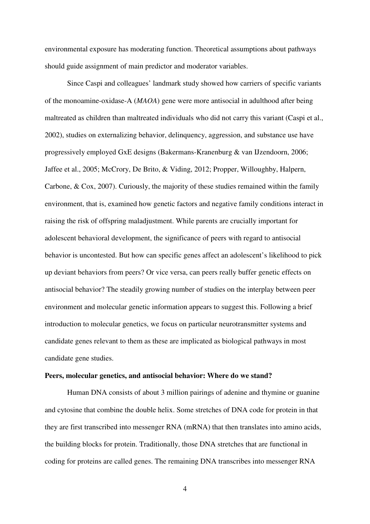environmental exposure has moderating function. Theoretical assumptions about pathways should guide assignment of main predictor and moderator variables.

Since Caspi and colleagues' landmark study showed how carriers of specific variants of the monoamine-oxidase-A (*MAOA*) gene were more antisocial in adulthood after being maltreated as children than maltreated individuals who did not carry this variant (Caspi et al., 2002), studies on externalizing behavior, delinquency, aggression, and substance use have progressively employed GxE designs (Bakermans-Kranenburg & van IJzendoorn, 2006; Jaffee et al., 2005; McCrory, De Brito, & Viding, 2012; Propper, Willoughby, Halpern, Carbone, & Cox, 2007). Curiously, the majority of these studies remained within the family environment, that is, examined how genetic factors and negative family conditions interact in raising the risk of offspring maladjustment. While parents are crucially important for adolescent behavioral development, the significance of peers with regard to antisocial behavior is uncontested. But how can specific genes affect an adolescent's likelihood to pick up deviant behaviors from peers? Or vice versa, can peers really buffer genetic effects on antisocial behavior? The steadily growing number of studies on the interplay between peer environment and molecular genetic information appears to suggest this. Following a brief introduction to molecular genetics, we focus on particular neurotransmitter systems and candidate genes relevant to them as these are implicated as biological pathways in most candidate gene studies.

## **Peers, molecular genetics, and antisocial behavior: Where do we stand?**

Human DNA consists of about 3 million pairings of adenine and thymine or guanine and cytosine that combine the double helix. Some stretches of DNA code for protein in that they are first transcribed into messenger RNA (mRNA) that then translates into amino acids, the building blocks for protein. Traditionally, those DNA stretches that are functional in coding for proteins are called genes. The remaining DNA transcribes into messenger RNA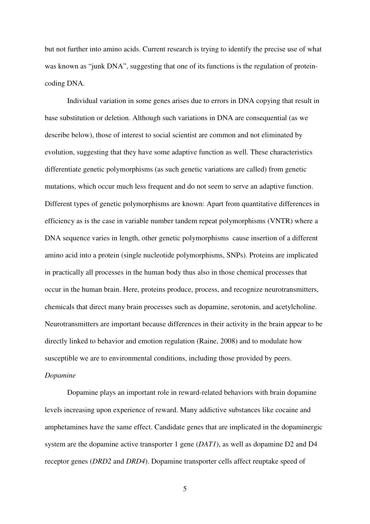but not further into amino acids. Current research is trying to identify the precise use of what was known as "junk DNA", suggesting that one of its functions is the regulation of proteincoding DNA.

Individual variation in some genes arises due to errors in DNA copying that result in base substitution or deletion. Although such variations in DNA are consequential (as we describe below), those of interest to social scientist are common and not eliminated by evolution, suggesting that they have some adaptive function as well. These characteristics differentiate genetic polymorphisms (as such genetic variations are called) from genetic mutations, which occur much less frequent and do not seem to serve an adaptive function. Different types of genetic polymorphisms are known: Apart from quantitative differences in efficiency as is the case in variable number tandem repeat polymorphisms (VNTR) where a DNA sequence varies in length, other genetic polymorphisms cause insertion of a different amino acid into a protein (single nucleotide polymorphisms, SNPs). Proteins are implicated in practically all processes in the human body thus also in those chemical processes that occur in the human brain. Here, proteins produce, process, and recognize neurotransmitters, chemicals that direct many brain processes such as dopamine, serotonin, and acetylcholine. Neurotransmitters are important because differences in their activity in the brain appear to be directly linked to behavior and emotion regulation (Raine, 2008) and to modulate how susceptible we are to environmental conditions, including those provided by peers. *Dopamine*

Dopamine plays an important role in reward-related behaviors with brain dopamine levels increasing upon experience of reward. Many addictive substances like cocaine and amphetamines have the same effect. Candidate genes that are implicated in the dopaminergic system are the dopamine active transporter 1 gene (*DAT1*), as well as dopamine D2 and D4 receptor genes (*DRD2* and *DRD4*). Dopamine transporter cells affect reuptake speed of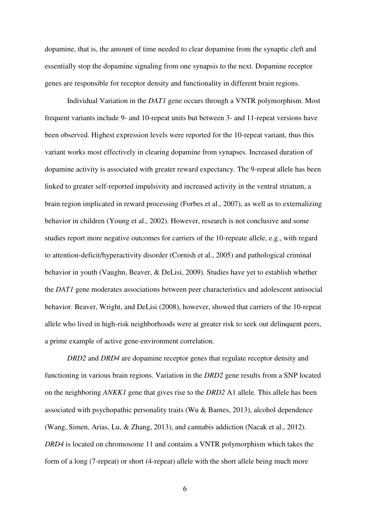dopamine, that is, the amount of time needed to clear dopamine from the synaptic cleft and essentially stop the dopamine signaling from one synapsis to the next. Dopamine receptor genes are responsible for receptor density and functionality in different brain regions.

Individual Variation in the *DAT1* gene occurs through a VNTR polymorphism. Most frequent variants include 9- and 10-repeat units but between 3- and 11-repeat versions have been observed. Highest expression levels were reported for the 10-repeat variant, thus this variant works most effectively in clearing dopamine from synapses. Increased duration of dopamine activity is associated with greater reward expectancy. The 9-repeat allele has been linked to greater self-reported impulsivity and increased activity in the ventral striatum, a brain region implicated in reward processing (Forbes et al., 2007), as well as to externalizing behavior in children (Young et al., 2002). However, research is not conclusive and some studies report more negative outcomes for carriers of the 10-repeate allele, e.g., with regard to attention-deficit/hyperactivity disorder (Cornish et al., 2005) and pathological criminal behavior in youth (Vaughn, Beaver, & DeLisi, 2009). Studies have yet to establish whether the *DAT1* gene moderates associations between peer characteristics and adolescent antisocial behavior. Beaver, Wright, and DeLisi (2008), however, showed that carriers of the 10-repeat allele who lived in high-risk neighborhoods were at greater risk to seek out delinquent peers, a prime example of active gene-environment correlation.

*DRD2* and *DRD4* are dopamine receptor genes that regulate receptor density and functioning in various brain regions. Variation in the *DRD2* gene results from a SNP located on the neighboring *ANKK1* gene that gives rise to the *DRD2* A1 allele. This allele has been associated with psychopathic personality traits (Wu & Barnes, 2013), alcohol dependence (Wang, Simen, Arias, Lu, & Zhang, 2013), and cannabis addiction (Nacak et al., 2012). *DRD4* is located on chromosome 11 and contains a VNTR polymorphism which takes the form of a long (7-repeat) or short (4-repeat) allele with the short allele being much more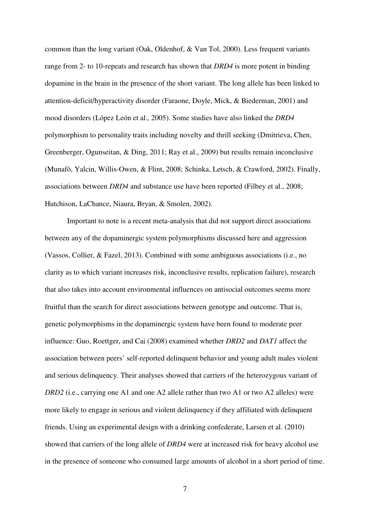common than the long variant (Oak, Oldenhof, & Van Tol, 2000). Less frequent variants range from 2- to 10-repeats and research has shown that *DRD4* is more potent in binding dopamine in the brain in the presence of the short variant. The long allele has been linked to attention-deficit/hyperactivity disorder (Faraone, Doyle, Mick, & Biederman, 2001) and mood disorders (López León et al., 2005). Some studies have also linked the *DRD4* polymorphism to personality traits including novelty and thrill seeking (Dmitrieva, Chen, Greenberger, Ogunseitan, & Ding, 2011; Ray et al., 2009) but results remain inconclusive (Munafò, Yalcin, Willis-Owen, & Flint, 2008; Schinka, Letsch, & Crawford, 2002). Finally, associations between *DRD4* and substance use have been reported (Filbey et al., 2008; Hutchison, LaChance, Niaura, Bryan, & Smolen, 2002).

Important to note is a recent meta-analysis that did not support direct associations between any of the dopaminergic system polymorphisms discussed here and aggression (Vassos, Collier, & Fazel, 2013). Combined with some ambiguous associations (i.e., no clarity as to which variant increases risk, inconclusive results, replication failure), research that also takes into account environmental influences on antisocial outcomes seems more fruitful than the search for direct associations between genotype and outcome. That is, genetic polymorphisms in the dopaminergic system have been found to moderate peer influence: Guo, Roettger, and Cai (2008) examined whether *DRD2* and *DAT1* affect the association between peers' self-reported delinquent behavior and young adult males violent and serious delinquency*.* Their analyses showed that carriers of the heterozygous variant of *DRD2* (i.e., carrying one A1 and one A2 allele rather than two A1 or two A2 alleles) were more likely to engage in serious and violent delinquency if they affiliated with delinquent friends. Using an experimental design with a drinking confederate, Larsen et al. (2010) showed that carriers of the long allele of *DRD4* were at increased risk for heavy alcohol use in the presence of someone who consumed large amounts of alcohol in a short period of time.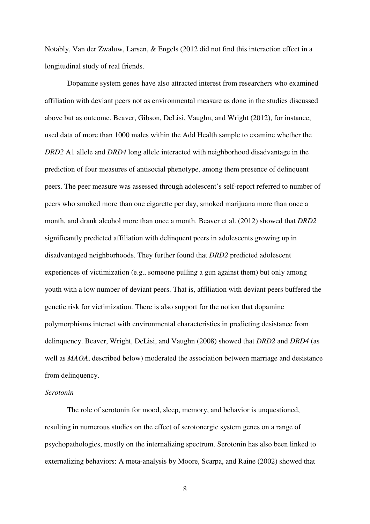Notably, Van der Zwaluw, Larsen, & Engels (2012 did not find this interaction effect in a longitudinal study of real friends.

Dopamine system genes have also attracted interest from researchers who examined affiliation with deviant peers not as environmental measure as done in the studies discussed above but as outcome. Beaver, Gibson, DeLisi, Vaughn, and Wright (2012), for instance, used data of more than 1000 males within the Add Health sample to examine whether the *DRD2* A1 allele and *DRD4* long allele interacted with neighborhood disadvantage in the prediction of four measures of antisocial phenotype, among them presence of delinquent peers. The peer measure was assessed through adolescent's self-report referred to number of peers who smoked more than one cigarette per day, smoked marijuana more than once a month, and drank alcohol more than once a month. Beaver et al. (2012) showed that *DRD2* significantly predicted affiliation with delinquent peers in adolescents growing up in disadvantaged neighborhoods. They further found that *DRD2* predicted adolescent experiences of victimization (e.g., someone pulling a gun against them) but only among youth with a low number of deviant peers. That is, affiliation with deviant peers buffered the genetic risk for victimization. There is also support for the notion that dopamine polymorphisms interact with environmental characteristics in predicting desistance from delinquency. Beaver, Wright, DeLisi, and Vaughn (2008) showed that *DRD2* and *DRD4* (as well as *MAOA*, described below) moderated the association between marriage and desistance from delinquency.

# *Serotonin*

The role of serotonin for mood, sleep, memory, and behavior is unquestioned, resulting in numerous studies on the effect of serotonergic system genes on a range of psychopathologies, mostly on the internalizing spectrum. Serotonin has also been linked to externalizing behaviors: A meta-analysis by Moore, Scarpa, and Raine (2002) showed that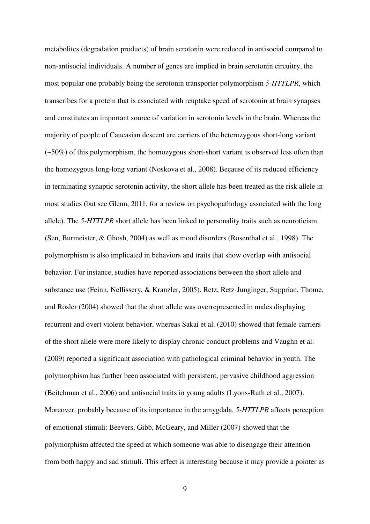metabolites (degradation products) of brain serotonin were reduced in antisocial compared to non-antisocial individuals. A number of genes are implied in brain serotonin circuitry, the most popular one probably being the serotonin transporter polymorphism *5-HTTLPR*, which transcribes for a protein that is associated with reuptake speed of serotonin at brain synapses and constitutes an important source of variation in serotonin levels in the brain. Whereas the majority of people of Caucasian descent are carriers of the heterozygous short-long variant (~50%) of this polymorphism, the homozygous short-short variant is observed less often than the homozygous long-long variant (Noskova et al., 2008). Because of its reduced efficiency in terminating synaptic serotonin activity, the short allele has been treated as the risk allele in most studies (but see Glenn, 2011, for a review on psychopathology associated with the long allele). The *5-HTTLPR* short allele has been linked to personality traits such as neuroticism (Sen, Burmeister, & Ghosh, 2004) as well as mood disorders (Rosenthal et al., 1998). The polymorphism is also implicated in behaviors and traits that show overlap with antisocial behavior. For instance, studies have reported associations between the short allele and substance use (Feinn, Nellissery, & Kranzler, 2005). Retz, Retz‐Junginger, Supprian, Thome, and Rösler (2004) showed that the short allele was overrepresented in males displaying recurrent and overt violent behavior, whereas Sakai et al. (2010) showed that female carriers of the short allele were more likely to display chronic conduct problems and Vaughn et al. (2009) reported a significant association with pathological criminal behavior in youth. The polymorphism has further been associated with persistent, pervasive childhood aggression (Beitchman et al., 2006) and antisocial traits in young adults (Lyons-Ruth et al., 2007). Moreover, probably because of its importance in the amygdala, *5-HTTLPR* affects perception of emotional stimuli: Beevers, Gibb, McGeary, and Miller (2007) showed that the polymorphism affected the speed at which someone was able to disengage their attention from both happy and sad stimuli. This effect is interesting because it may provide a pointer as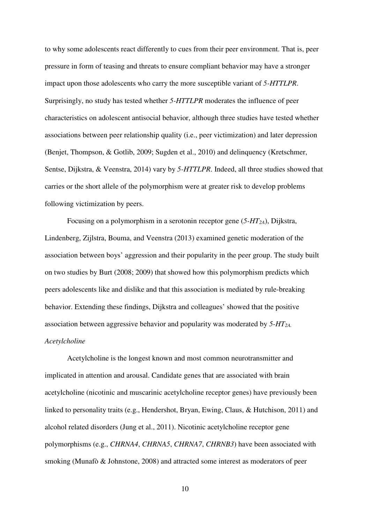to why some adolescents react differently to cues from their peer environment. That is, peer pressure in form of teasing and threats to ensure compliant behavior may have a stronger impact upon those adolescents who carry the more susceptible variant of *5-HTTLPR*. Surprisingly, no study has tested whether *5-HTTLPR* moderates the influence of peer characteristics on adolescent antisocial behavior, although three studies have tested whether associations between peer relationship quality (i.e., peer victimization) and later depression (Benjet, Thompson, & Gotlib, 2009; Sugden et al., 2010) and delinquency (Kretschmer, Sentse, Dijkstra, & Veenstra, 2014) vary by *5-HTTLPR*. Indeed, all three studies showed that carries or the short allele of the polymorphism were at greater risk to develop problems following victimization by peers.

Focusing on a polymorphism in a serotonin receptor gene (*5-HT2A*), Dijkstra, Lindenberg, Zijlstra, Bouma, and Veenstra (2013) examined genetic moderation of the association between boys' aggression and their popularity in the peer group. The study built on two studies by Burt (2008; 2009) that showed how this polymorphism predicts which peers adolescents like and dislike and that this association is mediated by rule-breaking behavior. Extending these findings, Dijkstra and colleagues' showed that the positive association between aggressive behavior and popularity was moderated by *5-HT2A. Acetylcholine* 

Acetylcholine is the longest known and most common neurotransmitter and implicated in attention and arousal. Candidate genes that are associated with brain acetylcholine (nicotinic and muscarinic acetylcholine receptor genes) have previously been linked to personality traits (e.g., Hendershot, Bryan, Ewing, Claus, & Hutchison, 2011) and alcohol related disorders (Jung et al., 2011). Nicotinic acetylcholine receptor gene polymorphisms (e.g., *CHRNA4*, *CHRNA5*, *CHRNA7*, *CHRNB3*) have been associated with smoking (Munafò & Johnstone, 2008) and attracted some interest as moderators of peer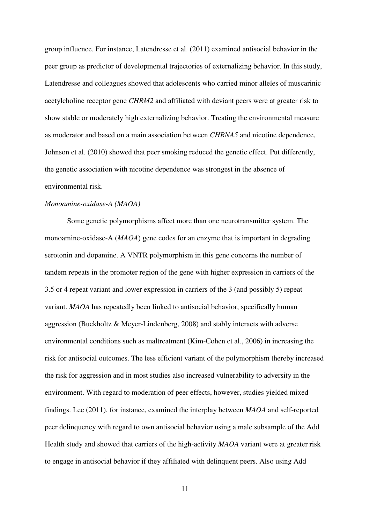group influence. For instance, Latendresse et al. (2011) examined antisocial behavior in the peer group as predictor of developmental trajectories of externalizing behavior. In this study, Latendresse and colleagues showed that adolescents who carried minor alleles of muscarinic acetylcholine receptor gene *CHRM2* and affiliated with deviant peers were at greater risk to show stable or moderately high externalizing behavior. Treating the environmental measure as moderator and based on a main association between *CHRNA5* and nicotine dependence, Johnson et al. (2010) showed that peer smoking reduced the genetic effect. Put differently, the genetic association with nicotine dependence was strongest in the absence of environmental risk.

## *Monoamine-oxidase-A (MAOA)*

Some genetic polymorphisms affect more than one neurotransmitter system. The monoamine-oxidase-A (*MAOA*) gene codes for an enzyme that is important in degrading serotonin and dopamine. A VNTR polymorphism in this gene concerns the number of tandem repeats in the promoter region of the gene with higher expression in carriers of the 3.5 or 4 repeat variant and lower expression in carriers of the 3 (and possibly 5) repeat variant. *MAOA* has repeatedly been linked to antisocial behavior, specifically human aggression (Buckholtz & Meyer-Lindenberg, 2008) and stably interacts with adverse environmental conditions such as maltreatment (Kim-Cohen et al., 2006) in increasing the risk for antisocial outcomes. The less efficient variant of the polymorphism thereby increased the risk for aggression and in most studies also increased vulnerability to adversity in the environment. With regard to moderation of peer effects, however, studies yielded mixed findings. Lee (2011), for instance, examined the interplay between *MAOA* and self-reported peer delinquency with regard to own antisocial behavior using a male subsample of the Add Health study and showed that carriers of the high-activity *MAOA* variant were at greater risk to engage in antisocial behavior if they affiliated with delinquent peers. Also using Add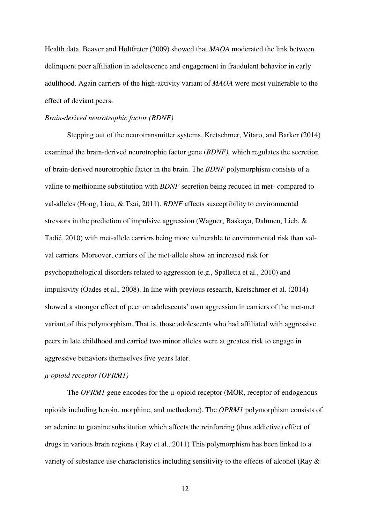Health data, Beaver and Holtfreter (2009) showed that *MAOA* moderated the link between delinquent peer affiliation in adolescence and engagement in fraudulent behavior in early adulthood. Again carriers of the high-activity variant of *MAOA* were most vulnerable to the effect of deviant peers.

# *Brain-derived neurotrophic factor (BDNF)*

Stepping out of the neurotransmitter systems, Kretschmer, Vitaro, and Barker (2014) examined the brain-derived neurotrophic factor gene (*BDNF),* which regulates the secretion of brain-derived neurotrophic factor in the brain. The *BDNF* polymorphism consists of a valine to methionine substitution with *BDNF* secretion being reduced in met- compared to val-alleles (Hong, Liou, & Tsai, 2011). *BDNF* affects susceptibility to environmental stressors in the prediction of impulsive aggression (Wagner, Baskaya, Dahmen, Lieb, & Tadić, 2010) with met-allele carriers being more vulnerable to environmental risk than valval carriers. Moreover, carriers of the met-allele show an increased risk for psychopathological disorders related to aggression (e.g., Spalletta et al., 2010) and impulsivity (Oades et al., 2008). In line with previous research, Kretschmer et al. (2014) showed a stronger effect of peer on adolescents' own aggression in carriers of the met-met variant of this polymorphism. That is, those adolescents who had affiliated with aggressive peers in late childhood and carried two minor alleles were at greatest risk to engage in aggressive behaviors themselves five years later.

#### µ*-opioid receptor (OPRM1)*

The *OPRM1* gene encodes for the  $\mu$ -opioid receptor (MOR, receptor of endogenous opioids including heroin, morphine, and methadone). The *OPRM1* polymorphism consists of an adenine to guanine substitution which affects the reinforcing (thus addictive) effect of drugs in various brain regions ( Ray et al., 2011) This polymorphism has been linked to a variety of substance use characteristics including sensitivity to the effects of alcohol (Ray  $\&$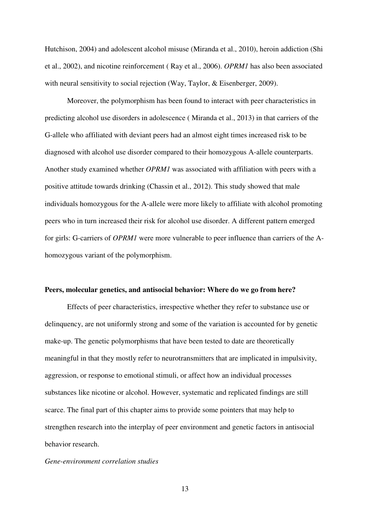Hutchison, 2004) and adolescent alcohol misuse (Miranda et al., 2010), heroin addiction (Shi et al., 2002), and nicotine reinforcement ( Ray et al., 2006). *OPRM1* has also been associated with neural sensitivity to social rejection (Way, Taylor, & Eisenberger, 2009).

Moreover, the polymorphism has been found to interact with peer characteristics in predicting alcohol use disorders in adolescence ( Miranda et al., 2013) in that carriers of the G-allele who affiliated with deviant peers had an almost eight times increased risk to be diagnosed with alcohol use disorder compared to their homozygous A-allele counterparts. Another study examined whether *OPRM1* was associated with affiliation with peers with a positive attitude towards drinking (Chassin et al., 2012). This study showed that male individuals homozygous for the A-allele were more likely to affiliate with alcohol promoting peers who in turn increased their risk for alcohol use disorder. A different pattern emerged for girls: G-carriers of *OPRM1* were more vulnerable to peer influence than carriers of the Ahomozygous variant of the polymorphism.

#### **Peers, molecular genetics, and antisocial behavior: Where do we go from here?**

Effects of peer characteristics, irrespective whether they refer to substance use or delinquency, are not uniformly strong and some of the variation is accounted for by genetic make-up. The genetic polymorphisms that have been tested to date are theoretically meaningful in that they mostly refer to neurotransmitters that are implicated in impulsivity, aggression, or response to emotional stimuli, or affect how an individual processes substances like nicotine or alcohol. However, systematic and replicated findings are still scarce. The final part of this chapter aims to provide some pointers that may help to strengthen research into the interplay of peer environment and genetic factors in antisocial behavior research.

#### *Gene-environment correlation studies*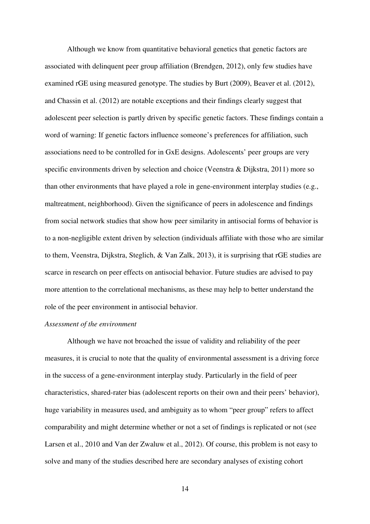Although we know from quantitative behavioral genetics that genetic factors are associated with delinquent peer group affiliation (Brendgen, 2012), only few studies have examined rGE using measured genotype. The studies by Burt (2009), Beaver et al. (2012), and Chassin et al. (2012) are notable exceptions and their findings clearly suggest that adolescent peer selection is partly driven by specific genetic factors. These findings contain a word of warning: If genetic factors influence someone's preferences for affiliation, such associations need to be controlled for in GxE designs. Adolescents' peer groups are very specific environments driven by selection and choice (Veenstra & Dijkstra, 2011) more so than other environments that have played a role in gene-environment interplay studies (e.g., maltreatment, neighborhood). Given the significance of peers in adolescence and findings from social network studies that show how peer similarity in antisocial forms of behavior is to a non-negligible extent driven by selection (individuals affiliate with those who are similar to them, Veenstra, Dijkstra, Steglich, & Van Zalk, 2013), it is surprising that rGE studies are scarce in research on peer effects on antisocial behavior. Future studies are advised to pay more attention to the correlational mechanisms, as these may help to better understand the role of the peer environment in antisocial behavior.

# *Assessment of the environment*

Although we have not broached the issue of validity and reliability of the peer measures, it is crucial to note that the quality of environmental assessment is a driving force in the success of a gene-environment interplay study. Particularly in the field of peer characteristics, shared-rater bias (adolescent reports on their own and their peers' behavior), huge variability in measures used, and ambiguity as to whom "peer group" refers to affect comparability and might determine whether or not a set of findings is replicated or not (see Larsen et al., 2010 and Van der Zwaluw et al., 2012). Of course, this problem is not easy to solve and many of the studies described here are secondary analyses of existing cohort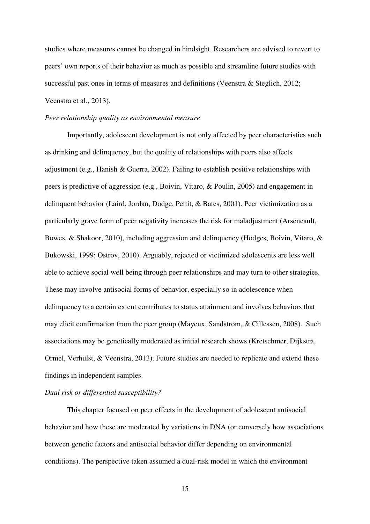studies where measures cannot be changed in hindsight. Researchers are advised to revert to peers' own reports of their behavior as much as possible and streamline future studies with successful past ones in terms of measures and definitions (Veenstra & Steglich, 2012; Veenstra et al., 2013).

#### *Peer relationship quality as environmental measure*

Importantly, adolescent development is not only affected by peer characteristics such as drinking and delinquency, but the quality of relationships with peers also affects adjustment (e.g., Hanish & Guerra, 2002). Failing to establish positive relationships with peers is predictive of aggression (e.g., Boivin, Vitaro, & Poulin, 2005) and engagement in delinquent behavior (Laird, Jordan, Dodge, Pettit, & Bates, 2001). Peer victimization as a particularly grave form of peer negativity increases the risk for maladjustment (Arseneault, Bowes, & Shakoor, 2010), including aggression and delinquency (Hodges, Boivin, Vitaro, & Bukowski, 1999; Ostrov, 2010). Arguably, rejected or victimized adolescents are less well able to achieve social well being through peer relationships and may turn to other strategies. These may involve antisocial forms of behavior, especially so in adolescence when delinquency to a certain extent contributes to status attainment and involves behaviors that may elicit confirmation from the peer group (Mayeux, Sandstrom, & Cillessen, 2008). Such associations may be genetically moderated as initial research shows (Kretschmer, Dijkstra, Ormel, Verhulst, & Veenstra, 2013). Future studies are needed to replicate and extend these findings in independent samples.

# *Dual risk or differential susceptibility?*

This chapter focused on peer effects in the development of adolescent antisocial behavior and how these are moderated by variations in DNA (or conversely how associations between genetic factors and antisocial behavior differ depending on environmental conditions). The perspective taken assumed a dual-risk model in which the environment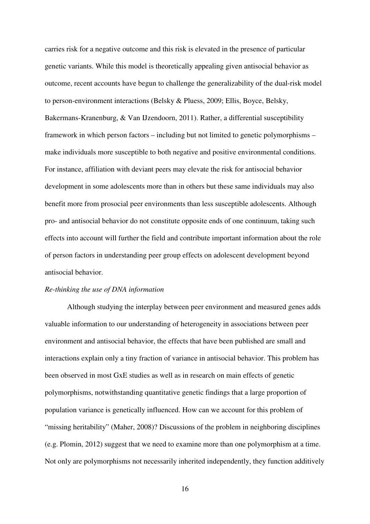carries risk for a negative outcome and this risk is elevated in the presence of particular genetic variants. While this model is theoretically appealing given antisocial behavior as outcome, recent accounts have begun to challenge the generalizability of the dual-risk model to person-environment interactions (Belsky & Pluess, 2009; Ellis, Boyce, Belsky, Bakermans-Kranenburg, & Van IJzendoorn, 2011). Rather, a differential susceptibility framework in which person factors – including but not limited to genetic polymorphisms – make individuals more susceptible to both negative and positive environmental conditions. For instance, affiliation with deviant peers may elevate the risk for antisocial behavior development in some adolescents more than in others but these same individuals may also benefit more from prosocial peer environments than less susceptible adolescents. Although pro- and antisocial behavior do not constitute opposite ends of one continuum, taking such effects into account will further the field and contribute important information about the role of person factors in understanding peer group effects on adolescent development beyond antisocial behavior.

# *Re-thinking the use of DNA information*

Although studying the interplay between peer environment and measured genes adds valuable information to our understanding of heterogeneity in associations between peer environment and antisocial behavior, the effects that have been published are small and interactions explain only a tiny fraction of variance in antisocial behavior. This problem has been observed in most GxE studies as well as in research on main effects of genetic polymorphisms, notwithstanding quantitative genetic findings that a large proportion of population variance is genetically influenced. How can we account for this problem of "missing heritability" (Maher, 2008)? Discussions of the problem in neighboring disciplines (e.g. Plomin, 2012) suggest that we need to examine more than one polymorphism at a time. Not only are polymorphisms not necessarily inherited independently, they function additively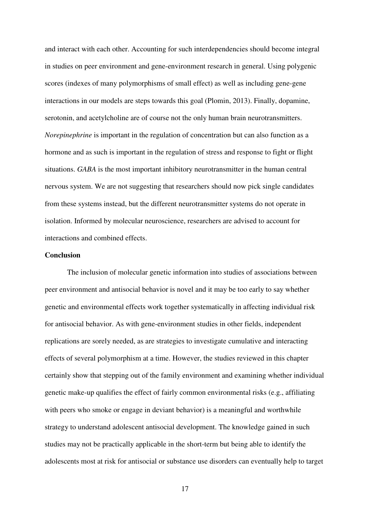and interact with each other. Accounting for such interdependencies should become integral in studies on peer environment and gene-environment research in general. Using polygenic scores (indexes of many polymorphisms of small effect) as well as including gene-gene interactions in our models are steps towards this goal (Plomin, 2013). Finally, dopamine, serotonin, and acetylcholine are of course not the only human brain neurotransmitters. *Norepinephrine* is important in the regulation of concentration but can also function as a hormone and as such is important in the regulation of stress and response to fight or flight situations. *GABA* is the most important inhibitory neurotransmitter in the human central nervous system. We are not suggesting that researchers should now pick single candidates from these systems instead, but the different neurotransmitter systems do not operate in isolation. Informed by molecular neuroscience, researchers are advised to account for interactions and combined effects.

# **Conclusion**

The inclusion of molecular genetic information into studies of associations between peer environment and antisocial behavior is novel and it may be too early to say whether genetic and environmental effects work together systematically in affecting individual risk for antisocial behavior. As with gene-environment studies in other fields, independent replications are sorely needed, as are strategies to investigate cumulative and interacting effects of several polymorphism at a time. However, the studies reviewed in this chapter certainly show that stepping out of the family environment and examining whether individual genetic make-up qualifies the effect of fairly common environmental risks (e.g., affiliating with peers who smoke or engage in deviant behavior) is a meaningful and worthwhile strategy to understand adolescent antisocial development. The knowledge gained in such studies may not be practically applicable in the short-term but being able to identify the adolescents most at risk for antisocial or substance use disorders can eventually help to target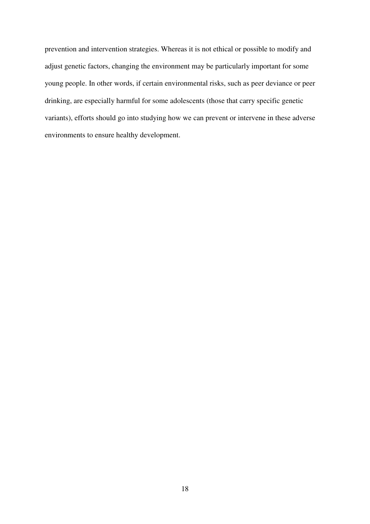prevention and intervention strategies. Whereas it is not ethical or possible to modify and adjust genetic factors, changing the environment may be particularly important for some young people. In other words, if certain environmental risks, such as peer deviance or peer drinking, are especially harmful for some adolescents (those that carry specific genetic variants), efforts should go into studying how we can prevent or intervene in these adverse environments to ensure healthy development.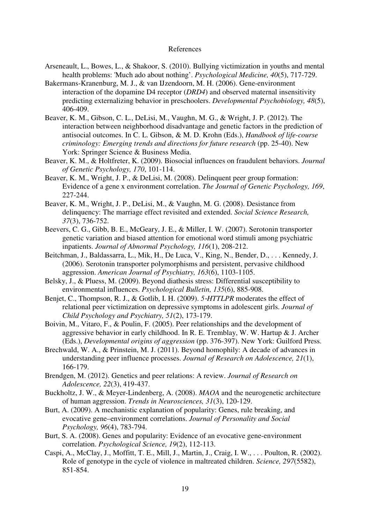#### References

- Arseneault, L., Bowes, L., & Shakoor, S. (2010). Bullying victimization in youths and mental health problems: 'Much ado about nothing'. *Psychological Medicine, 40*(5), 717-729.
- Bakermans-Kranenburg, M. J., & van IJzendoorn, M. H. (2006). Gene-environment interaction of the dopamine D4 receptor (*DRD4*) and observed maternal insensitivity predicting externalizing behavior in preschoolers. *Developmental Psychobiology, 48*(5), 406-409.
- Beaver, K. M., Gibson, C. L., DeLisi, M., Vaughn, M. G., & Wright, J. P. (2012). The interaction between neighborhood disadvantage and genetic factors in the prediction of antisocial outcomes. In C. L. Gibson, & M. D. Krohn (Eds.), *Handbook of life-course criminology: Emerging trends and directions for future research* (pp. 25-40). New York: Springer Science & Business Media.
- Beaver, K. M., & Holtfreter, K. (2009). Biosocial influences on fraudulent behaviors. *Journal of Genetic Psychology, 170*, 101-114.
- Beaver, K. M., Wright, J. P., & DeLisi, M. (2008). Delinquent peer group formation: Evidence of a gene x environment correlation. *The Journal of Genetic Psychology, 169*, 227-244.
- Beaver, K. M., Wright, J. P., DeLisi, M., & Vaughn, M. G. (2008). Desistance from delinquency: The marriage effect revisited and extended. *Social Science Research, 37*(3), 736-752.
- Beevers, C. G., Gibb, B. E., McGeary, J. E., & Miller, I. W. (2007). Serotonin transporter genetic variation and biased attention for emotional word stimuli among psychiatric inpatients. *Journal of Abnormal Psychology, 116*(1), 208-212.
- Beitchman, J., Baldassarra, L., Mik, H., De Luca, V., King, N., Bender, D., . . . Kennedy, J. (2006). Serotonin transporter polymorphisms and persistent, pervasive childhood aggression. *American Journal of Psychiatry, 163*(6), 1103-1105.
- Belsky, J., & Pluess, M. (2009). Beyond diathesis stress: Differential susceptibility to environmental influences. *Psychological Bulletin, 135*(6), 885-908.
- Benjet, C., Thompson, R. J., & Gotlib, I. H. (2009). *5*–*HTTLPR* moderates the effect of relational peer victimization on depressive symptoms in adolescent girls. *Journal of Child Psychology and Psychiatry, 51*(2), 173-179.
- Boivin, M., Vitaro, F., & Poulin, F. (2005). Peer relationships and the development of aggressive behavior in early childhood. In R. E. Tremblay, W. W. Hartup & J. Archer (Eds.), *Developmental origins of aggression* (pp. 376-397). New York: Guilford Press.
- Brechwald, W. A., & Prinstein, M. J. (2011). Beyond homophily: A decade of advances in understanding peer influence processes. *Journal of Research on Adolescence, 21*(1), 166-179.
- Brendgen, M. (2012). Genetics and peer relations: A review. *Journal of Research on Adolescence, 22*(3), 419-437.
- Buckholtz, J. W., & Meyer-Lindenberg, A. (2008). *MAOA* and the neurogenetic architecture of human aggression. *Trends in Neurosciences, 31*(3), 120-129.
- Burt, A. (2009). A mechanistic explanation of popularity: Genes, rule breaking, and evocative gene–environment correlations. *Journal of Personality and Social Psychology, 96*(4), 783-794.
- Burt, S. A. (2008). Genes and popularity: Evidence of an evocative gene-environment correlation. *Psychological Science, 19*(2), 112-113.
- Caspi, A., McClay, J., Moffitt, T. E., Mill, J., Martin, J., Craig, I. W., . . . Poulton, R. (2002). Role of genotype in the cycle of violence in maltreated children. *Science, 297*(5582), 851-854.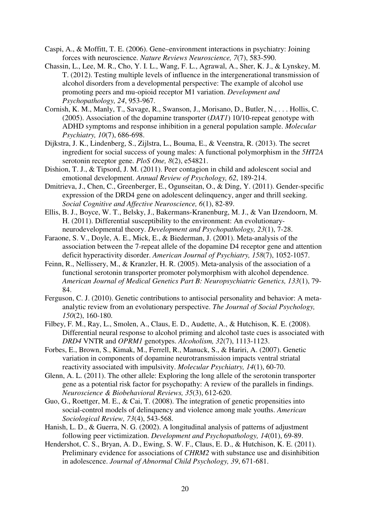- Caspi, A., & Moffitt, T. E. (2006). Gene–environment interactions in psychiatry: Joining forces with neuroscience. *Nature Reviews Neuroscience, 7*(7), 583-590.
- Chassin, L., Lee, M. R., Cho, Y. I. L., Wang, F. L., Agrawal, A., Sher, K. J., & Lynskey, M. T. (2012). Testing multiple levels of influence in the intergenerational transmission of alcohol disorders from a developmental perspective: The example of alcohol use promoting peers and mu-opioid receptor M1 variation. *Development and Psychopathology, 24*, 953-967.
- Cornish, K. M., Manly, T., Savage, R., Swanson, J., Morisano, D., Butler, N., . . . Hollis, C. (2005). Association of the dopamine transporter (*DAT1*) 10/10-repeat genotype with ADHD symptoms and response inhibition in a general population sample. *Molecular Psychiatry, 10*(7), 686-698.
- Dijkstra, J. K., Lindenberg, S., Zijlstra, L., Bouma, E., & Veenstra, R. (2013). The secret ingredient for social success of young males: A functional polymorphism in the *5HT2A* serotonin receptor gene. *PloS One, 8*(2), e54821.
- Dishion, T. J., & Tipsord, J. M. (2011). Peer contagion in child and adolescent social and emotional development. *Annual Review of Psychology, 62*, 189-214.
- Dmitrieva, J., Chen, C., Greenberger, E., Ogunseitan, O., & Ding, Y. (2011). Gender-specific expression of the DRD4 gene on adolescent delinquency, anger and thrill seeking. *Social Cognitive and Affective Neuroscience, 6*(1), 82-89.
- Ellis, B. J., Boyce, W. T., Belsky, J., Bakermans-Kranenburg, M. J., & Van IJzendoorn, M. H. (2011). Differential susceptibility to the environment: An evolutionaryneurodevelopmental theory. *Development and Psychopathology, 23*(1), 7-28.
- Faraone, S. V., Doyle, A. E., Mick, E., & Biederman, J. (2001). Meta-analysis of the association between the 7-repeat allele of the dopamine D4 receptor gene and attention deficit hyperactivity disorder. *American Journal of Psychiatry, 158*(7), 1052-1057.
- Feinn, R., Nellissery, M., & Kranzler, H. R. (2005). Meta-analysis of the association of a functional serotonin transporter promoter polymorphism with alcohol dependence. *American Journal of Medical Genetics Part B: Neuropsychiatric Genetics, 133*(1), 79- 84.
- Ferguson, C. J. (2010). Genetic contributions to antisocial personality and behavior: A metaanalytic review from an evolutionary perspective. *The Journal of Social Psychology, 150*(2), 160-180.
- Filbey, F. M., Ray, L., Smolen, A., Claus, E. D., Audette, A., & Hutchison, K. E. (2008). Differential neural response to alcohol priming and alcohol taste cues is associated with *DRD4* VNTR and *OPRM1* genotypes. *Alcoholism, 32*(7), 1113-1123.
- Forbes, E., Brown, S., Kimak, M., Ferrell, R., Manuck, S., & Hariri, A. (2007). Genetic variation in components of dopamine neurotransmission impacts ventral striatal reactivity associated with impulsivity. *Molecular Psychiatry, 14*(1), 60-70.
- Glenn, A. L. (2011). The other allele: Exploring the long allele of the serotonin transporter gene as a potential risk factor for psychopathy: A review of the parallels in findings. *Neuroscience & Biobehavioral Reviews, 35*(3), 612-620.
- Guo, G., Roettger, M. E., & Cai, T. (2008). The integration of genetic propensities into social-control models of delinquency and violence among male youths. *American Sociological Review, 73*(4), 543-568.
- Hanish, L. D., & Guerra, N. G. (2002). A longitudinal analysis of patterns of adjustment following peer victimization. *Development and Psychopathology, 14*(01), 69-89.
- Hendershot, C. S., Bryan, A. D., Ewing, S. W. F., Claus, E. D., & Hutchison, K. E. (2011). Preliminary evidence for associations of *CHRM2* with substance use and disinhibition in adolescence. *Journal of Abnormal Child Psychology, 39*, 671-681.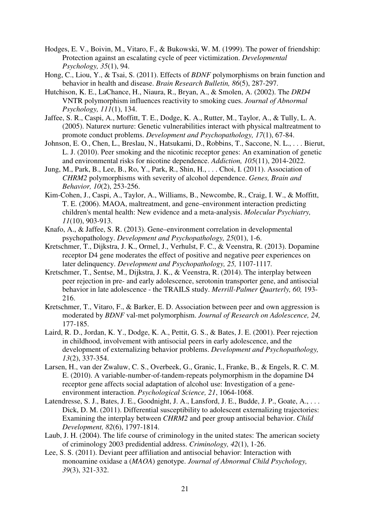- Hodges, E. V., Boivin, M., Vitaro, F., & Bukowski, W. M. (1999). The power of friendship: Protection against an escalating cycle of peer victimization. *Developmental Psychology, 35*(1), 94.
- Hong, C., Liou, Y., & Tsai, S. (2011). Effects of *BDNF* polymorphisms on brain function and behavior in health and disease. *Brain Research Bulletin, 86*(5), 287-297.
- Hutchison, K. E., LaChance, H., Niaura, R., Bryan, A., & Smolen, A. (2002). The *DRD4* VNTR polymorphism influences reactivity to smoking cues. *Journal of Abnormal Psychology, 111*(1), 134.
- Jaffee, S. R., Caspi, A., Moffitt, T. E., Dodge, K. A., Rutter, M., Taylor, A., & Tully, L. A. (2005). Nature× nurture: Genetic vulnerabilities interact with physical maltreatment to promote conduct problems. *Development and Psychopathology, 17*(1), 67-84.
- Johnson, E. O., Chen, L., Breslau, N., Hatsukami, D., Robbins, T., Saccone, N. L., . . . Bierut, L. J. (2010). Peer smoking and the nicotinic receptor genes: An examination of genetic and environmental risks for nicotine dependence. *Addiction, 105*(11), 2014-2022.
- Jung, M., Park, B., Lee, B., Ro, Y., Park, R., Shin, H., . . . Choi, I. (2011). Association of *CHRM2* polymorphisms with severity of alcohol dependence. *Genes, Brain and Behavior, 10*(2), 253-256.
- Kim-Cohen, J., Caspi, A., Taylor, A., Williams, B., Newcombe, R., Craig, I. W., & Moffitt, T. E. (2006). MAOA, maltreatment, and gene–environment interaction predicting children's mental health: New evidence and a meta-analysis. *Molecular Psychiatry, 11*(10), 903-913.
- Knafo, A., & Jaffee, S. R. (2013). Gene–environment correlation in developmental psychopathology. *Development and Psychopathology, 25*(01), 1-6.
- Kretschmer, T., Dijkstra, J. K., Ormel, J., Verhulst, F. C., & Veenstra, R. (2013). Dopamine receptor D4 gene moderates the effect of positive and negative peer experiences on later delinquency. *Development and Psychopathology, 25,* 1107-1117*.*
- Kretschmer, T., Sentse, M., Dijkstra, J. K., & Veenstra, R. (2014). The interplay between peer rejection in pre- and early adolescence, serotonin transporter gene, and antisocial behavior in late adolescence - the TRAILS study. *Merrill-Palmer Quarterly, 60,* 193- 216.
- Kretschmer, T., Vitaro, F., & Barker, E. D. Association between peer and own aggression is moderated by *BDNF* val-met polymorphism. *Journal of Research on Adolescence, 24,*  177-185.
- Laird, R. D., Jordan, K. Y., Dodge, K. A., Pettit, G. S., & Bates, J. E. (2001). Peer rejection in childhood, involvement with antisocial peers in early adolescence, and the development of externalizing behavior problems. *Development and Psychopathology, 13*(2), 337-354.
- Larsen, H., van der Zwaluw, C. S., Overbeek, G., Granic, I., Franke, B., & Engels, R. C. M. E. (2010). A variable-number-of-tandem-repeats polymorphism in the dopamine D4 receptor gene affects social adaptation of alcohol use: Investigation of a geneenvironment interaction. *Psychological Science, 21*, 1064-1068.
- Latendresse, S. J., Bates, J. E., Goodnight, J. A., Lansford, J. E., Budde, J. P., Goate, A., ... Dick, D. M. (2011). Differential susceptibility to adolescent externalizing trajectories: Examining the interplay between *CHRM2* and peer group antisocial behavior. *Child Development, 82*(6), 1797-1814.
- Laub, J. H. (2004). The life course of criminology in the united states: The american society of criminology 2003 predidential address. *Criminology, 42*(1), 1-26.
- Lee, S. S. (2011). Deviant peer affiliation and antisocial behavior: Interaction with monoamine oxidase a (*MAOA*) genotype. *Journal of Abnormal Child Psychology, 39*(3), 321-332.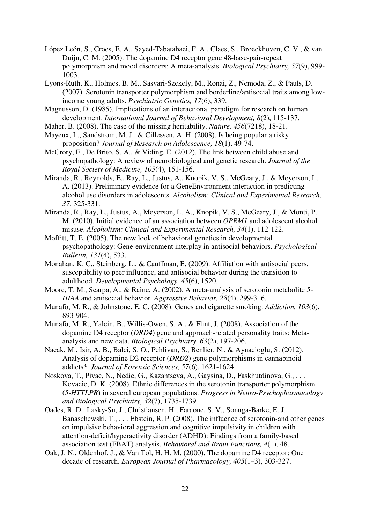- López León, S., Croes, E. A., Sayed-Tabatabaei, F. A., Claes, S., Broeckhoven, C. V., & van Duijn, C. M. (2005). The dopamine D4 receptor gene 48-base-pair-repeat polymorphism and mood disorders: A meta-analysis. *Biological Psychiatry, 57*(9), 999- 1003.
- Lyons-Ruth, K., Holmes, B. M., Sasvari-Szekely, M., Ronai, Z., Nemoda, Z., & Pauls, D. (2007). Serotonin transporter polymorphism and borderline/antisocial traits among lowincome young adults. *Psychiatric Genetics, 17*(6), 339.
- Magnusson, D. (1985). Implications of an interactional paradigm for research on human development. *International Journal of Behavioral Development, 8*(2), 115-137.
- Maher, B. (2008). The case of the missing heritability. *Nature, 456*(7218), 18-21.
- Mayeux, L., Sandstrom, M. J., & Cillessen, A. H. (2008). Is being popular a risky proposition? *Journal of Research on Adolescence, 18*(1), 49-74.
- McCrory, E., De Brito, S. A., & Viding, E. (2012). The link between child abuse and psychopathology: A review of neurobiological and genetic research. *Journal of the Royal Society of Medicine, 105*(4), 151-156.
- Miranda, R., Reynolds, E., Ray, L., Justus, A., Knopik, V. S., McGeary, J., & Meyerson, L. A. (2013). Preliminary evidence for a GeneEnvironment interaction in predicting alcohol use disorders in adolescents. *Alcoholism: Clinical and Experimental Research, 37*, 325-331.
- Miranda, R., Ray, L., Justus, A., Meyerson, L. A., Knopik, V. S., McGeary, J., & Monti, P. M. (2010). Initial evidence of an association between *OPRM1* and adolescent alcohol misuse. *Alcoholism: Clinical and Experimental Research, 34*(1), 112-122.
- Moffitt, T. E. (2005). The new look of behavioral genetics in developmental psychopathology: Gene-environment interplay in antisocial behaviors. *Psychological Bulletin, 131*(4), 533.
- Monahan, K. C., Steinberg, L., & Cauffman, E. (2009). Affiliation with antisocial peers, susceptibility to peer influence, and antisocial behavior during the transition to adulthood. *Developmental Psychology, 45*(6), 1520.
- Moore, T. M., Scarpa, A., & Raine, A. (2002). A meta‐analysis of serotonin metabolite *5*‐ *HIAA* and antisocial behavior. *Aggressive Behavior, 28*(4), 299-316.
- Munafò, M. R., & Johnstone, E. C. (2008). Genes and cigarette smoking. *Addiction, 103*(6), 893-904.
- Munafò, M. R., Yalcin, B., Willis-Owen, S. A., & Flint, J. (2008). Association of the dopamine D4 receptor (*DRD4*) gene and approach-related personality traits: Metaanalysis and new data. *Biological Psychiatry, 63*(2), 197-206.
- Nacak, M., Isir, A. B., Balci, S. O., Pehlivan, S., Benlier, N., & Aynacioglu, S. (2012). Analysis of dopamine D2 receptor (*DRD2*) gene polymorphisms in cannabinoid addicts\*. *Journal of Forensic Sciences, 57*(6), 1621-1624.
- Noskova, T., Pivac, N., Nedic, G., Kazantseva, A., Gaysina, D., Faskhutdinova, G., . . . Kovacic, D. K. (2008). Ethnic differences in the serotonin transporter polymorphism (*5-HTTLPR*) in several european populations. *Progress in Neuro-Psychopharmacology and Biological Psychiatry, 32*(7), 1735-1739.
- Oades, R. D., Lasky-Su, J., Christiansen, H., Faraone, S. V., Sonuga-Barke, E. J., Banaschewski, T., . . . Ebstein, R. P. (2008). The influence of serotonin-and other genes on impulsive behavioral aggression and cognitive impulsivity in children with attention-deficit/hyperactivity disorder (ADHD): Findings from a family-based association test (FBAT) analysis. *Behavioral and Brain Functions, 4*(1), 48.
- Oak, J. N., Oldenhof, J., & Van Tol, H. H. M. (2000). The dopamine D4 receptor: One decade of research. *European Journal of Pharmacology, 405*(1–3), 303-327.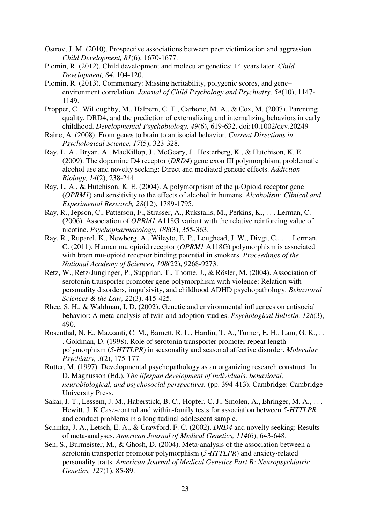- Ostrov, J. M. (2010). Prospective associations between peer victimization and aggression. *Child Development, 81*(6), 1670-1677.
- Plomin, R. (2012). Child development and molecular genetics: 14 years later. *Child Development, 84*, 104-120.
- Plomin, R. (2013). Commentary: Missing heritability, polygenic scores, and gene– environment correlation. *Journal of Child Psychology and Psychiatry, 54*(10), 1147- 1149.
- Propper, C., Willoughby, M., Halpern, C. T., Carbone, M. A., & Cox, M. (2007). Parenting quality, DRD4, and the prediction of externalizing and internalizing behaviors in early childhood. *Developmental Psychobiology, 49*(6), 619-632. doi:10.1002/dev.20249
- Raine, A. (2008). From genes to brain to antisocial behavior. *Current Directions in Psychological Science, 17*(5), 323-328.
- Ray, L. A., Bryan, A., MacKillop, J., McGeary, J., Hesterberg, K., & Hutchison, K. E. (2009). The dopamine D4 receptor (*DRD4*) gene exon III polymorphism, problematic alcohol use and novelty seeking: Direct and mediated genetic effects. *Addiction Biology, 14*(2), 238-244.
- Ray, L. A., & Hutchison, K. E. (2004). A polymorphism of the µ‐Opioid receptor gene (*OPRM1*) and sensitivity to the effects of alcohol in humans. *Alcoholism: Clinical and Experimental Research, 28*(12), 1789-1795.
- Ray, R., Jepson, C., Patterson, F., Strasser, A., Rukstalis, M., Perkins, K., . . . Lerman, C. (2006). Association of *OPRM1* A118G variant with the relative reinforcing value of nicotine. *Psychopharmacology, 188*(3), 355-363.
- Ray, R., Ruparel, K., Newberg, A., Wileyto, E. P., Loughead, J. W., Divgi, C., . . . Lerman, C. (2011). Human mu opioid receptor (*OPRM1* A118G) polymorphism is associated with brain mu-opioid receptor binding potential in smokers. *Proceedings of the National Academy of Sciences, 108*(22), 9268-9273.
- Retz, W., Retz‐Junginger, P., Supprian, T., Thome, J., & Rösler, M. (2004). Association of serotonin transporter promoter gene polymorphism with violence: Relation with personality disorders, impulsivity, and childhood ADHD psychopathology. *Behavioral Sciences & the Law, 22*(3), 415-425.
- Rhee, S. H., & Waldman, I. D. (2002). Genetic and environmental influences on antisocial behavior: A meta-analysis of twin and adoption studies. *Psychological Bulletin, 128*(3), 490.
- Rosenthal, N. E., Mazzanti, C. M., Barnett, R. L., Hardin, T. A., Turner, E. H., Lam, G. K., . . . Goldman, D. (1998). Role of serotonin transporter promoter repeat length polymorphism (*5-HTTLPR*) in seasonality and seasonal affective disorder. *Molecular Psychiatry, 3*(2), 175-177.
- Rutter, M. (1997). Developmental psychopathology as an organizing research construct. In D. Magnusson (Ed.), *The lifespan development of individuals. behavioral, neurobiological, and psychosocial perspectives.* (pp. 394-413). Cambridge: Cambridge University Press.
- Sakai, J. T., Lessem, J. M., Haberstick, B. C., Hopfer, C. J., Smolen, A., Ehringer, M. A., . . . Hewitt, J. K.Case-control and within-family tests for association between *5-HTTLPR* and conduct problems in a longitudinal adolescent sample.
- Schinka, J. A., Letsch, E. A., & Crawford, F. C. (2002). *DRD4* and novelty seeking: Results of meta-analyses. *American Journal of Medical Genetics, 114*(6), 643-648.
- Sen, S., Burmeister, M., & Ghosh, D. (2004). Meta-analysis of the association between a serotonin transporter promoter polymorphism (*5*‐*HTTLPR*) and anxiety‐related personality traits. *American Journal of Medical Genetics Part B: Neuropsychiatric Genetics, 127*(1), 85-89.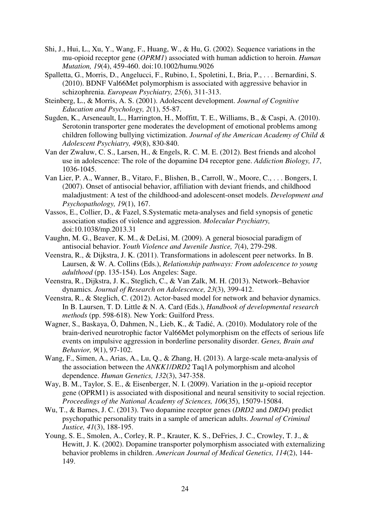- Shi, J., Hui, L., Xu, Y., Wang, F., Huang, W., & Hu, G. (2002). Sequence variations in the mu-opioid receptor gene (*OPRM1*) associated with human addiction to heroin. *Human Mutation, 19*(4), 459-460. doi:10.1002/humu.9026
- Spalletta, G., Morris, D., Angelucci, F., Rubino, I., Spoletini, I., Bria, P., . . . Bernardini, S. (2010). BDNF Val66Met polymorphism is associated with aggressive behavior in schizophrenia. *European Psychiatry, 25*(6), 311-313.
- Steinberg, L., & Morris, A. S. (2001). Adolescent development. *Journal of Cognitive Education and Psychology, 2*(1), 55-87.
- Sugden, K., Arseneault, L., Harrington, H., Moffitt, T. E., Williams, B., & Caspi, A. (2010). Serotonin transporter gene moderates the development of emotional problems among children following bullying victimization. *Journal of the American Academy of Child & Adolescent Psychiatry, 49*(8), 830-840.
- Van der Zwaluw, C. S., Larsen, H., & Engels, R. C. M. E. (2012). Best friends and alcohol use in adolescence: The role of the dopamine D4 receptor gene. *Addiction Biology, 17*, 1036-1045.
- Van Lier, P. A., Wanner, B., Vitaro, F., Blishen, B., Carroll, W., Moore, C., . . . Bongers, I. (2007). Onset of antisocial behavior, affiliation with deviant friends, and childhood maladjustment: A test of the childhood-and adolescent-onset models. *Development and Psychopathology, 19*(1), 167.
- Vassos, E., Collier, D., & Fazel, S.Systematic meta-analyses and field synopsis of genetic association studies of violence and aggression. *Molecular Psychiatry,*  doi:10.1038/mp.2013.31
- Vaughn, M. G., Beaver, K. M., & DeLisi, M. (2009). A general biosocial paradigm of antisocial behavior. *Youth Violence and Juvenile Justice, 7*(4), 279-298.
- Veenstra, R., & Dijkstra, J. K. (2011). Transformations in adolescent peer networks. In B. Laursen, & W. A. Collins (Eds.), *Relationship pathways: From adolescence to young adulthood* (pp. 135-154). Los Angeles: Sage.
- Veenstra, R., Dijkstra, J. K., Steglich, C., & Van Zalk, M. H. (2013). Network–Behavior dynamics. *Journal of Research on Adolescence, 23*(3), 399-412.
- Veenstra, R., & Steglich, C. (2012). Actor-based model for network and behavior dynamics. In B. Laursen, T. D. Little & N. A. Card (Eds.), *Handbook of developmental research methods* (pp. 598-618). New York: Guilford Press.
- Wagner, S., Baskaya, Ö, Dahmen, N., Lieb, K., & Tadić, A. (2010). Modulatory role of the brain‐derived neurotrophic factor Val66Met polymorphism on the effects of serious life events on impulsive aggression in borderline personality disorder. *Genes, Brain and Behavior, 9*(1), 97-102.
- Wang, F., Simen, A., Arias, A., Lu, Q., & Zhang, H. (2013). A large-scale meta-analysis of the association between the *ANKK1*/*DRD2* Taq1A polymorphism and alcohol dependence. *Human Genetics, 132*(3), 347-358.
- Way, B. M., Taylor, S. E., & Eisenberger, N. I. (2009). Variation in the  $\mu$ -opioid receptor gene (OPRM1) is associated with dispositional and neural sensitivity to social rejection. *Proceedings of the National Academy of Sciences, 106*(35), 15079-15084.
- Wu, T., & Barnes, J. C. (2013). Two dopamine receptor genes (*DRD2* and *DRD4*) predict psychopathic personality traits in a sample of american adults. *Journal of Criminal Justice, 41*(3), 188-195.
- Young, S. E., Smolen, A., Corley, R. P., Krauter, K. S., DeFries, J. C., Crowley, T. J., & Hewitt, J. K. (2002). Dopamine transporter polymorphism associated with externalizing behavior problems in children. *American Journal of Medical Genetics, 114*(2), 144- 149.